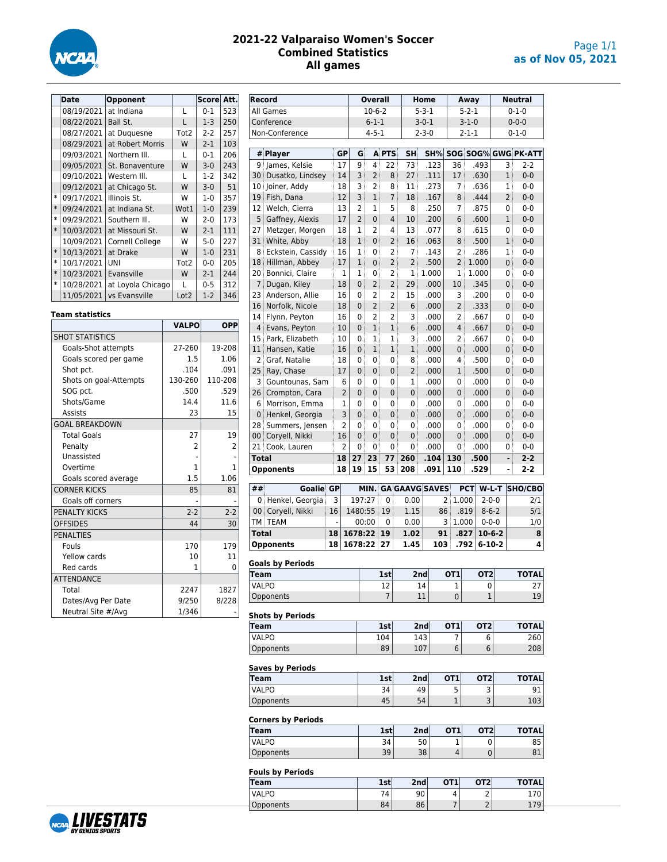

## **2021-22 Valparaiso Women's Soccer Combined Statistics All games**

|        | <b>Date</b> | <b>Opponent</b>   |                  | Score   | Att. |
|--------|-------------|-------------------|------------------|---------|------|
|        | 08/19/2021  | at Indiana        | L                | $0 - 1$ | 523  |
|        | 08/22/2021  | Ball St.          | L                | $1-3$   | 250  |
|        | 08/27/2021  | at Duguesne       | Tot2             | $2 - 2$ | 257  |
|        | 08/29/2021  | at Robert Morris  | W                | $2 - 1$ | 103  |
|        | 09/03/2021  | Northern III.     | L                | $0 - 1$ | 206  |
|        | 09/05/2021  | St. Bonaventure   | W                | $3 - 0$ | 243  |
|        | 09/10/2021  | Western III.      | L                | $1-2$   | 342  |
|        | 09/12/2021  | at Chicago St.    | W                | $3-0$   | 51   |
| $\ast$ | 09/17/2021  | Illinois St.      | W                | $1-0$   | 357  |
| $\ast$ | 09/24/2021  | at Indiana St.    | Wot1             | $1-0$   | 239  |
| $\ast$ | 09/29/2021  | Southern III.     | W                | 2-0     | 173  |
| $\ast$ | 10/03/2021  | at Missouri St.   | W                | $2 - 1$ | 111  |
|        | 10/09/2021  | Cornell College   | W                | $5-0$   | 227  |
| $\ast$ | 10/13/2021  | at Drake          | W                | $1-0$   | 231  |
| $\ast$ | 10/17/2021  | UNI               | Tot2             | $0-0$   | 205  |
| $\ast$ | 10/23/2021  | Evansville        | W                | $2 - 1$ | 244  |
| $\ast$ | 10/28/2021  | at Loyola Chicago | L                | $0 - 5$ | 312  |
|        | 11/05/2021  | vs Evansville     | Lot <sub>2</sub> | $1-2$   | 346  |

## **Team statistics**

|                        | <b>VALPO</b>             | <b>OPP</b> |
|------------------------|--------------------------|------------|
| <b>SHOT STATISTICS</b> |                          |            |
| Goals-Shot attempts    | 27-260                   | 19-208     |
| Goals scored per game  | 1.5                      | 1.06       |
| Shot pct.              | .104                     | .091       |
| Shots on goal-Attempts | 130-260                  | 110-208    |
| SOG pct.               | .500                     | .529       |
| Shots/Game             | 14.4                     | 11.6       |
| <b>Assists</b>         | 23                       | 15         |
| <b>GOAL BREAKDOWN</b>  |                          |            |
| <b>Total Goals</b>     | 27                       | 19         |
| Penalty                | $\overline{\phantom{a}}$ | 2          |
| Unassisted             |                          |            |
| Overtime               | 1                        | 1          |
| Goals scored average   | 1.5                      | 1.06       |
| <b>CORNER KICKS</b>    | 85                       | 81         |
| Goals off corners      |                          |            |
| PENALTY KICKS          | $2 - 2$                  | $2 - 2$    |
| <b>OFFSIDES</b>        | 44                       | 30         |
| <b>PENALTIES</b>       |                          |            |
| Fouls                  | 170                      | 179        |
| Yellow cards           | 10                       | 11         |
| Red cards              | 1                        | 0          |
| <b>ATTENDANCE</b>      |                          |            |
| Total                  | 2247                     | 1827       |
| Dates/Avg Per Date     | 9/250                    | 8/228      |
| Neutral Site #/Avg     | 1/346                    |            |

|                | Record                         |          |                |                | <b>Overall</b> |                     |                | Home                  |                 | Away                 |                | <b>Neutral</b>      |
|----------------|--------------------------------|----------|----------------|----------------|----------------|---------------------|----------------|-----------------------|-----------------|----------------------|----------------|---------------------|
|                | All Games                      |          |                |                | $10-6-2$       |                     |                | $5 - 3 - 1$           |                 | $5 - 2 - 1$          |                | $0 - 1 - 0$         |
|                | Conference                     |          |                |                | $6 - 1 - 1$    |                     |                | $3 - 0 - 1$           |                 | $3 - 1 - 0$          |                | $0 - 0 - 0$         |
|                | Non-Conference                 |          |                |                | $4 - 5 - 1$    |                     |                | $2 - 3 - 0$           |                 | $2 - 1 - 1$          |                | $0 - 1 - 0$         |
|                |                                |          |                |                |                |                     |                |                       |                 |                      |                |                     |
|                | # Player                       | GP       |                | G              | 4              | <b>A PTS</b>        | SH             | SH%                   |                 |                      |                | SOG SOG% GWG PK-ATT |
| 9              | James, Kelsie                  | 17       |                | 9              | $\overline{2}$ | 22                  | 73             | .123                  | 36              | .493                 | 3              | 2-2                 |
| 30             | Dusatko, Lindsey               | 14<br>18 |                | 3<br>3         | 2              | 8<br>8              | 27<br>11       | .111<br>.273          | 17<br>7         | .630<br>.636         | 1<br>1         | $0 - 0$<br>$0-0$    |
| 10             | Joiner, Addy                   | 12       |                | 3              | $\mathbf{1}$   | 7                   | 18             |                       | 8               | .444                 | $\overline{2}$ |                     |
| 19             | Fish, Dana<br>Welch, Cierra    | 13       |                | 2              | 1              |                     | 8              | .167                  | 7               |                      | 0              | $0 - 0$<br>$0 - 0$  |
| 12<br>5        | Gaffney, Alexis                | 17       |                | $\overline{2}$ | $\mathbf 0$    | 5<br>$\overline{4}$ | 10             | .250<br>.200          | 6               | .875<br>.600         | 1              | 0-0                 |
| 27             |                                | 18       |                | 1              | $\overline{2}$ | 4                   | 13             | .077                  |                 | .615                 | 0              | $0-0$               |
| 31             | Metzger, Morgen<br>White, Abby | 18       |                | $\mathbf{1}$   | $\mathbf 0$    | 2                   | 16             | .063                  | 8<br>8          | .500                 | 1              | 0-0                 |
| 8              | Eckstein, Cassidy              | 16       |                | 1              | 0              | 2                   | 7              | .143                  | 2               | .286                 | 1              | 0-0                 |
| 18             | Hillman, Abbey                 | 17       |                | 1              | $\mathbf 0$    | 2                   | 2              | .500                  | 2               | 1.000                | $\overline{0}$ | $0 - 0$             |
| 20             | Bonnici, Claire                |          | 1              | 1              | 0              | 2                   | 1              | 1.000                 | 1               | 1.000                | 0              | $0-0$               |
| $\overline{7}$ | Dugan, Kiley                   | 18       |                | 0              | $\overline{2}$ | 2                   | 29             | .000                  | 10              | .345                 | 0              | $0 - 0$             |
| 23             | Anderson, Allie                | 16       |                | 0              | $\overline{2}$ | 2                   | 15             | .000                  | 3               | .200                 | 0              | $0-0$               |
| 16             | Norfolk, Nicole                | 18       |                | 0              | $\overline{2}$ | 2                   | 6              | .000                  | 2               | .333                 | 0              | $0 - 0$             |
| 14             | Flynn, Peyton                  | 16       |                | 0              | $\overline{2}$ | 2                   | 3              | .000                  | 2               | .667                 | 0              | 0-0                 |
| $\overline{4}$ | Evans, Peyton                  | 10       |                | 0              | 1              | 1                   | 6              | .000                  | $\overline{4}$  | .667                 | 0              | $0 - 0$             |
| 15             | Park, Elizabeth                | 10       |                | 0              | 1              | 1                   | 3              | .000                  | 2               | .667                 | 0              | $0-0$               |
| 11             | Hansen, Katie                  | 16       |                | 0              | $\mathbf{1}$   | $\mathbf{1}$        | $\mathbf{1}$   | .000                  | $\mathbf{0}$    | .000                 | $\overline{0}$ | $0 - 0$             |
| 2              | Graf, Natalie                  | 18       |                | 0              | 0              | 0                   | 8              | .000                  | 4               | .500                 | 0              | 0-0                 |
| 25             | Ray, Chase                     | 17       |                | 0              | 0              | 0                   | 2              | .000                  | 1               | .500                 | 0              | $0 - 0$             |
| 3              | Gountounas, Sam                |          | 6              | 0              | 0              | 0                   | 1              | .000                  | 0               | .000                 | 0              | 0-0                 |
| 26             | Crompton, Cara                 |          | 2              | 0              | $\mathbf 0$    | 0                   | 0              | .000                  | $\mathbf{0}$    | .000                 | 0              | $0 - 0$             |
| 6              | Morrison, Emma                 |          | 1              | 0              | 0              | 0                   | 0              | .000                  | 0               | .000                 | 0              | $0-0$               |
| $\mathbf 0$    | Henkel, Georgia                |          | 3              | 0              | $\mathbf 0$    | 0                   | $\overline{0}$ | .000                  | 0               | .000                 | $\overline{0}$ | 0-0                 |
| 28             | Summers, Jensen                |          | 2              | 0              | 0              | 0                   | 0              | .000                  | 0               | .000                 | 0              | $0-0$               |
| 00             | Coryell, Nikki                 | 16       |                | 0              | 0              | 0                   | 0              | .000                  | $\mathbf{0}$    | .000                 | 0              | $0 - 0$             |
| 21             | Cook, Lauren                   |          | $\overline{2}$ | 0              | 0              | 0                   | 0              | .000                  | 0               | .000                 | 0              | 0-0                 |
|                |                                |          |                |                |                |                     |                |                       |                 |                      |                |                     |
|                |                                |          |                |                |                |                     |                |                       |                 |                      |                |                     |
| <b>Total</b>   |                                | 18       |                | 27             | 23             | 77                  | 260            | .104                  | 130             | .500                 | ä,             | $2 - 2$             |
|                | Opponents                      | 18       |                | 19             | 15             | 53                  | 208            | .091                  | 110             | .529                 | ÷              | 2-2                 |
| ##             | <b>Goalie GP</b>               |          |                |                | MIN.           |                     |                | <b>GA GAAVG SAVES</b> |                 | <b>PCT</b><br>W-L-T  |                | SHO/CBO             |
|                | 0 Henkel, Georgia              | 3        |                | 197:27         |                | 0                   | 0.00           |                       | 2<br>1.000      | $2 - 0 - 0$          |                | 2/1                 |
| 00             | Coryell, Nikki                 | 16       |                | 1480:55        |                | 19                  | 1.15           | 86                    |                 | .819<br>$8 - 6 - 2$  |                | 5/1                 |
| TM :           | <b>TEAM</b>                    |          |                |                | 00:00          | 0                   | 0.00           |                       | 3<br>1.000      | $0 - 0 - 0$          |                | 1/0                 |
| <b>Total</b>   |                                | 18       |                | 1678:22        |                | 19                  | 1.02           | 91                    |                 | .827<br>$10-6-2$     |                | 8                   |
|                | <b>Opponents</b>               | 18       |                | 1678:22        |                | 27                  | 1.45           | 103                   |                 | .792<br>$6 - 10 - 2$ |                | 4                   |
|                |                                |          |                |                |                |                     |                |                       |                 |                      |                |                     |
|                | Goals by Periods               |          |                |                |                |                     |                |                       |                 |                      |                |                     |
| <b>Team</b>    |                                |          |                |                |                | 1st                 |                | 2nd                   | OT <sub>1</sub> | OT2                  |                | <b>TOTAL</b>        |
| VALPO          |                                |          |                |                |                | 12                  |                | 14                    | ı               | U                    |                | 27                  |
|                | Opponents                      |          |                |                |                | 7                   |                | 11                    | 0               | 1                    |                | 19                  |
|                |                                |          |                |                |                |                     |                |                       |                 |                      |                |                     |
| Team           | <b>Shots by Periods</b>        |          |                |                |                | 1st                 |                | 2nd                   | OT1             | OT <sub>2</sub>      |                | <b>TOTAL</b>        |
| <b>VALPO</b>   |                                |          |                |                |                | 104                 |                | 143                   | 7               | 6                    |                |                     |
|                |                                |          |                |                |                | 89                  |                | 107                   | 6               | 6                    |                | 260<br>208          |
|                | Opponents                      |          |                |                |                |                     |                |                       |                 |                      |                |                     |
|                | <b>Saves by Periods</b>        |          |                |                |                |                     |                |                       |                 |                      |                |                     |
| <b>Team</b>    |                                |          |                |                |                | 1st                 |                | 2nd                   | OT1             | OT <sub>2</sub>      |                | <b>TOTAL</b>        |
| <b>VALPO</b>   |                                |          |                |                |                | 34                  |                | 49                    | 5               | 3                    |                | 91                  |
|                | Opponents                      |          |                |                |                | 45                  |                | 54                    | 1               | 3                    |                | 103                 |
|                |                                |          |                |                |                |                     |                |                       |                 |                      |                |                     |
|                | <b>Corners by Periods</b>      |          |                |                |                |                     |                |                       |                 |                      |                |                     |
| <b>Team</b>    |                                |          |                |                |                | 1st                 |                | 2nd                   | OT1             | OT <sub>2</sub>      |                | <b>TOTAL</b>        |
| <b>VALPO</b>   |                                |          |                |                |                | 34                  |                | 50                    | 1               | 0                    |                | 85                  |
|                | Opponents                      |          |                |                |                | 39                  |                | 38                    | 4               | 0                    |                | 81                  |
|                | <b>Fouls by Periods</b>        |          |                |                |                |                     |                |                       |                 |                      |                |                     |
| Team           |                                |          |                |                |                | 1st                 | 2nd            |                       | OT <sub>1</sub> | OT <sub>2</sub>      |                | <b>TOTAL</b>        |
| VALPO          |                                |          |                |                |                | 74                  |                | 90                    | 4               | 2                    |                | 170                 |
|                | Opponents                      |          |                |                |                | 84                  |                | 86                    | $\overline{7}$  | $\overline{2}$       |                | 179                 |